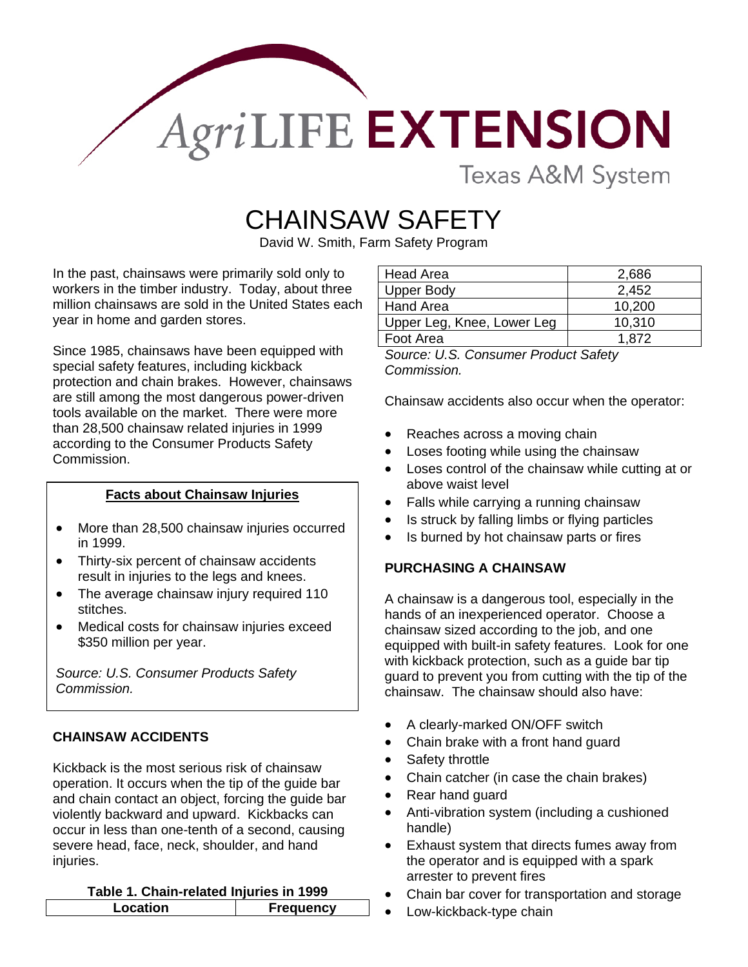

Texas A&M System

# CHAINSAW SAFETY

David W. Smith, Farm Safety Program

In the past, chainsaws were primarily sold only to workers in the timber industry. Today, about three million chainsaws are sold in the United States each year in home and garden stores.

Since 1985, chainsaws have been equipped with special safety features, including kickback protection and chain brakes. However, chainsaws are still among the most dangerous power-driven tools available on the market. There were more than 28,500 chainsaw related injuries in 1999 according to the Consumer Products Safety Commission.

## **Facts about Chainsaw Injuries**

- More than 28,500 chainsaw injuries occurred in 1999.
- Thirty-six percent of chainsaw accidents result in injuries to the legs and knees.
- The average chainsaw injury required 110 stitches.
- Medical costs for chainsaw injuries exceed \$350 million per year.

*Source: U.S. Consumer Products Safety Commission.* 

# **CHAINSAW ACCIDENTS**

Kickback is the most serious risk of chainsaw operation. It occurs when the tip of the guide bar and chain contact an object, forcing the guide bar violently backward and upward. Kickbacks can occur in less than one-tenth of a second, causing severe head, face, neck, shoulder, and hand injuries.

#### **Table 1. Chain-related Injuries in 1999**

| ion | <b>uencv</b> |
|-----|--------------|
|     |              |

| Head Area                  | 2,686  |
|----------------------------|--------|
| <b>Upper Body</b>          | 2,452  |
| Hand Area                  | 10,200 |
| Upper Leg, Knee, Lower Leg | 10,310 |
| Foot Area                  | 1.872  |

*Source: U.S. Consumer Product Safety Commission.* 

Chainsaw accidents also occur when the operator:

- Reaches across a moving chain
- Loses footing while using the chainsaw
- Loses control of the chainsaw while cutting at or above waist level
- Falls while carrying a running chainsaw
- Is struck by falling limbs or flying particles
- Is burned by hot chainsaw parts or fires

#### **PURCHASING A CHAINSAW**

A chainsaw is a dangerous tool, especially in the hands of an inexperienced operator. Choose a chainsaw sized according to the job, and one equipped with built-in safety features. Look for one with kickback protection, such as a guide bar tip guard to prevent you from cutting with the tip of the chainsaw. The chainsaw should also have:

- A clearly-marked ON/OFF switch
- Chain brake with a front hand guard
- Safety throttle
- Chain catcher (in case the chain brakes)
- Rear hand guard
- Anti-vibration system (including a cushioned handle)
- Exhaust system that directs fumes away from the operator and is equipped with a spark arrester to prevent fires
- Chain bar cover for transportation and storage
- Low-kickback-type chain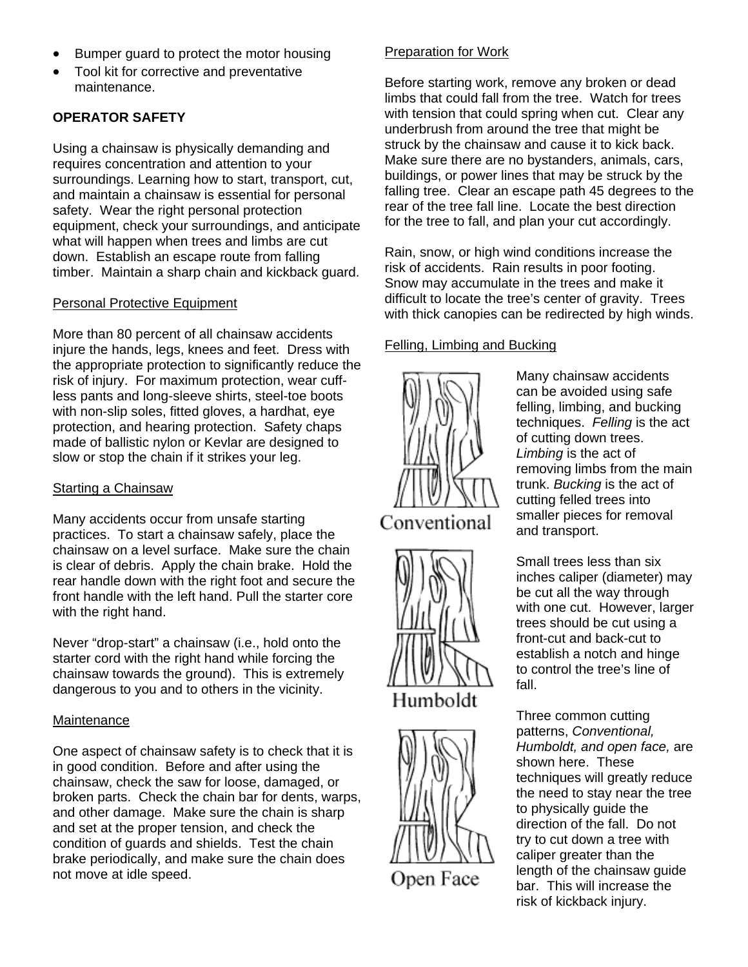- Bumper guard to protect the motor housing
- Tool kit for corrective and preventative maintenance.

# **OPERATOR SAFETY**

Using a chainsaw is physically demanding and requires concentration and attention to your surroundings. Learning how to start, transport, cut, and maintain a chainsaw is essential for personal safety. Wear the right personal protection equipment, check your surroundings, and anticipate what will happen when trees and limbs are cut down. Establish an escape route from falling timber. Maintain a sharp chain and kickback guard.

#### Personal Protective Equipment

More than 80 percent of all chainsaw accidents injure the hands, legs, knees and feet. Dress with the appropriate protection to significantly reduce the risk of injury. For maximum protection, wear cuffless pants and long-sleeve shirts, steel-toe boots with non-slip soles, fitted gloves, a hardhat, eye protection, and hearing protection. Safety chaps made of ballistic nylon or Kevlar are designed to slow or stop the chain if it strikes your leg.

## Starting a Chainsaw

Many accidents occur from unsafe starting practices. To start a chainsaw safely, place the chainsaw on a level surface. Make sure the chain is clear of debris. Apply the chain brake. Hold the rear handle down with the right foot and secure the front handle with the left hand. Pull the starter core with the right hand.

Never "drop-start" a chainsaw (i.e., hold onto the starter cord with the right hand while forcing the chainsaw towards the ground). This is extremely dangerous to you and to others in the vicinity.

## **Maintenance**

One aspect of chainsaw safety is to check that it is in good condition. Before and after using the chainsaw, check the saw for loose, damaged, or broken parts. Check the chain bar for dents, warps, and other damage. Make sure the chain is sharp and set at the proper tension, and check the condition of guards and shields. Test the chain brake periodically, and make sure the chain does not move at idle speed.

# Preparation for Work

Before starting work, remove any broken or dead limbs that could fall from the tree. Watch for trees with tension that could spring when cut. Clear any underbrush from around the tree that might be struck by the chainsaw and cause it to kick back. Make sure there are no bystanders, animals, cars, buildings, or power lines that may be struck by the falling tree. Clear an escape path 45 degrees to the rear of the tree fall line. Locate the best direction for the tree to fall, and plan your cut accordingly.

Rain, snow, or high wind conditions increase the risk of accidents. Rain results in poor footing. Snow may accumulate in the trees and make it difficult to locate the tree's center of gravity. Trees with thick canopies can be redirected by high winds.

# Felling, Limbing and Bucking









Many chainsaw accidents can be avoided using safe felling, limbing, and bucking techniques. *Felling* is the act of cutting down trees. *Limbing* is the act of removing limbs from the ma in trunk. *Bucking* is the act of cutting felled trees into smaller pieces for remov al and transp ort.

fall. Small trees less than six inches caliper (diameter) may be cut all the way through with one cut. However, larger trees should be cut using a front-cut and back-cut to establish a notch and hinge to control the tree's line of

Humboldt, and open face, are the need to stay near the tree bar. This will increase the risk of kickback injury. Three common cutting patterns, *Conventional,*  shown here. These techniques will greatly reduce to physically guide the direction of the fall. Do not try to cut down a tree with caliper greater than the length of the chainsaw guide